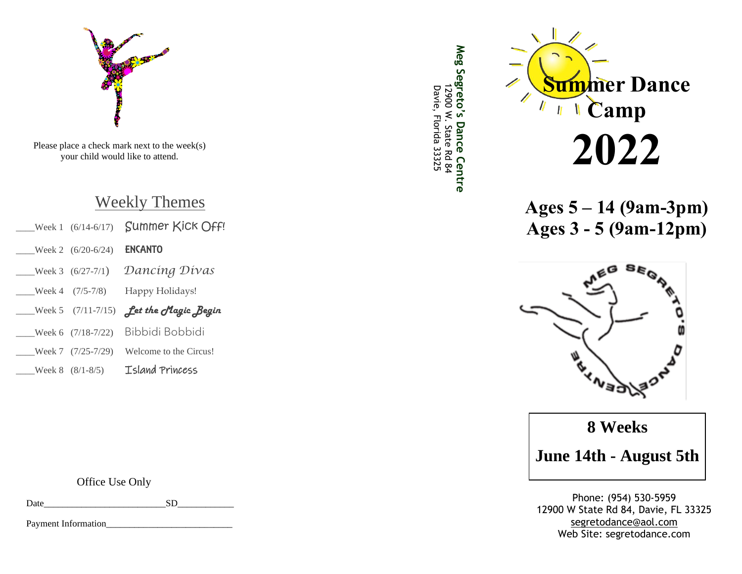

Please place a check mark next to the week(s) your child would like to attend.

# Weekly Themes

| Week 1 $(6/14-6/17)$ | Summer Kick Off!           |
|----------------------|----------------------------|
| Week 2 (6/20-6/24)   | <b>ENCANTO</b>             |
| Week 3 $(6/27-7/1)$  | Dancing Divas              |
| Week 4 $(7/5-7/8)$   | Happy Holidays!            |
| Week 5 $(7/11-7/15)$ | <b>Let the Magic Begin</b> |
| Week 6 (7/18-7/22)   | Bibbidi Bobbidi            |
| Week 7 $(7/25-7/29)$ | Welcome to the Circus!     |
| Week $8(8/1-8/5)$    | Island Princess            |

Office Use Only

Date SD

Payment Information\_





**Ages 5 – 14 (9am -3pm) Ages 3 - 5 (9am -12pm)**



**8 Weeks**

**June 1 4th - August 5th**

Phone: (954) 530 -5959 12900 W State Rd 84, Davie, FL 33325 [segretodance@aol.com](mailto:segretodance@aol.com) Web Site: segretodance.com